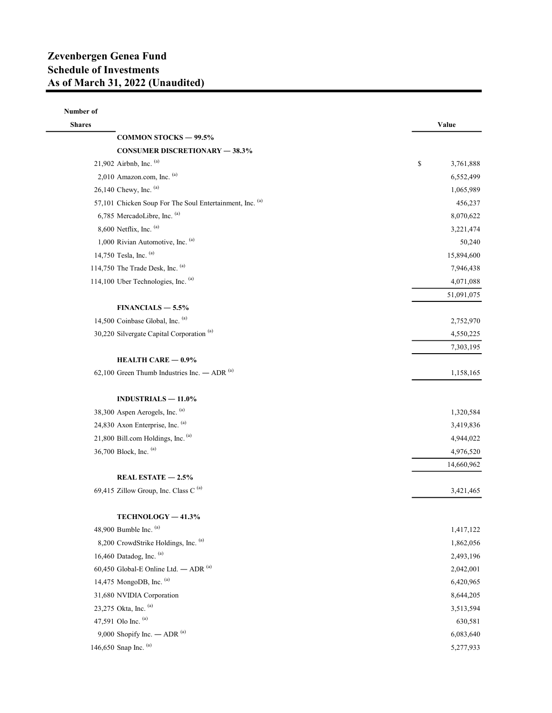## Number of

| <b>Shares</b>                                            | Value           |
|----------------------------------------------------------|-----------------|
| <b>COMMON STOCKS - 99.5%</b>                             |                 |
| <b>CONSUMER DISCRETIONARY - 38.3%</b>                    |                 |
| 21,902 Airbnb, Inc. $(a)$                                | \$<br>3,761,888 |
| 2,010 Amazon.com, Inc. $(a)$                             | 6,552,499       |
| 26,140 Chewy, Inc. (a)                                   | 1,065,989       |
| 57,101 Chicken Soup For The Soul Entertainment, Inc. (a) | 456,237         |
| 6,785 MercadoLibre, Inc. (a)                             | 8,070,622       |
| 8,600 Netflix, Inc. $(a)$                                | 3,221,474       |
| 1,000 Rivian Automotive, Inc. (a)                        | 50,240          |
| 14,750 Tesla, Inc. (a)                                   | 15,894,600      |
| 114,750 The Trade Desk, Inc. (a)                         | 7,946,438       |
| 114,100 Uber Technologies, Inc. (a)                      | 4,071,088       |
|                                                          | 51,091,075      |
| $FINANCIALS - 5.5%$                                      |                 |
| 14,500 Coinbase Global, Inc. (a)                         | 2,752,970       |
| 30,220 Silvergate Capital Corporation <sup>(a)</sup>     | 4,550,225       |
|                                                          | 7,303,195       |
| <b>HEALTH CARE - 0.9%</b>                                |                 |
| 62,100 Green Thumb Industries Inc. $-$ ADR $^{(a)}$      | 1,158,165       |
|                                                          |                 |
| INDUSTRIALS $-11.0\%$                                    |                 |
| 38,300 Aspen Aerogels, Inc. (a)                          | 1,320,584       |
| 24,830 Axon Enterprise, Inc. (a)                         | 3,419,836       |
| 21,800 Bill.com Holdings, Inc. (a)                       | 4,944,022       |
| 36,700 Block, Inc. (a)                                   | 4,976,520       |
|                                                          | 14,660,962      |
| REAL ESTATE $-2.5%$                                      |                 |
| 69,415 Zillow Group, Inc. Class C <sup>(a)</sup>         | 3,421,465       |
|                                                          |                 |
| TECHNOLOGY - 41.3%                                       |                 |
| 48,900 Bumble Inc. (a)                                   | 1,417,122       |
| 8,200 CrowdStrike Holdings, Inc. (a)                     | 1,862,056       |
| 16,460 Datadog, Inc. (a)                                 | 2,493,196       |
| 60,450 Global-E Online Ltd. $-$ ADR $^{(a)}$             | 2,042,001       |
| 14,475 MongoDB, Inc. (a)                                 | 6,420,965       |
| 31,680 NVIDIA Corporation                                | 8,644,205       |
| 23,275 Okta, Inc. (a)                                    | 3,513,594       |
| 47,591 Olo Inc. (a)                                      | 630,581         |
| 9,000 Shopify Inc. $-$ ADR $^{(a)}$                      | 6,083,640       |
| 146,650 Snap Inc. (a)                                    | 5,277,933       |
|                                                          |                 |